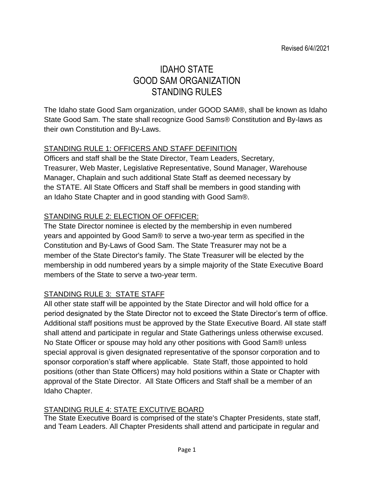# IDAHO STATE GOOD SAM ORGANIZATION STANDING RULES

The Idaho state Good Sam organization, under GOOD SAM®, shall be known as Idaho State Good Sam. The state shall recognize Good Sams® Constitution and By-laws as their own Constitution and By-Laws.

# STANDING RULE 1: OFFICERS AND STAFF DEFINITION

Officers and staff shall be the State Director, Team Leaders, Secretary, Treasurer, Web Master, Legislative Representative, Sound Manager, Warehouse Manager, Chaplain and such additional State Staff as deemed necessary by the STATE. All State Officers and Staff shall be members in good standing with an Idaho State Chapter and in good standing with Good Sam®.

# STANDING RULE 2: ELECTION OF OFFICER:

The State Director nominee is elected by the membership in even numbered years and appointed by Good Sam® to serve a two-year term as specified in the Constitution and By-Laws of Good Sam. The State Treasurer may not be a member of the State Director's family. The State Treasurer will be elected by the membership in odd numbered years by a simple majority of the State Executive Board members of the State to serve a two-year term.

# STANDING RULE 3: STATE STAFF

All other state staff will be appointed by the State Director and will hold office for a period designated by the State Director not to exceed the State Director's term of office. Additional staff positions must be approved by the State Executive Board. All state staff shall attend and participate in regular and State Gatherings unless otherwise excused. No State Officer or spouse may hold any other positions with Good Sam® unless special approval is given designated representative of the sponsor corporation and to sponsor corporation's staff where applicable. State Staff, those appointed to hold positions (other than State Officers) may hold positions within a State or Chapter with approval of the State Director. All State Officers and Staff shall be a member of an Idaho Chapter.

# STANDING RULE 4: STATE EXCUTIVE BOARD

The State Executive Board is comprised of the state's Chapter Presidents, state staff, and Team Leaders. All Chapter Presidents shall attend and participate in regular and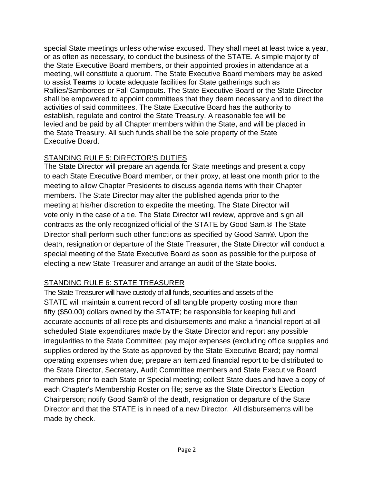special State meetings unless otherwise excused. They shall meet at least twice a year, or as often as necessary, to conduct the business of the STATE. A simple majority of the State Executive Board members, or their appointed proxies in attendance at a meeting, will constitute a quorum. The State Executive Board members may be asked to assist **Teams** to locate adequate facilities for State gatherings such as Rallies/Samborees or Fall Campouts. The State Executive Board or the State Director shall be empowered to appoint committees that they deem necessary and to direct the activities of said committees. The State Executive Board has the authority to establish, regulate and control the State Treasury. A reasonable fee will be levied and be paid by all Chapter members within the State, and will be placed in the State Treasury. All such funds shall be the sole property of the State Executive Board.

# STANDING RULE 5: DIRECTOR'S DUTIES

The State Director will prepare an agenda for State meetings and present a copy to each State Executive Board member, or their proxy, at least one month prior to the meeting to allow Chapter Presidents to discuss agenda items with their Chapter members. The State Director may alter the published agenda prior to the meeting at his/her discretion to expedite the meeting. The State Director will vote only in the case of a tie. The State Director will review, approve and sign all contracts as the only recognized official of the STATE by Good Sam.® The State Director shall perform such other functions as specified by Good Sam®. Upon the death, resignation or departure of the State Treasurer, the State Director will conduct a special meeting of the State Executive Board as soon as possible for the purpose of electing a new State Treasurer and arrange an audit of the State books.

# STANDING RULE 6: STATE TREASURER

The State Treasurer will have custody of all funds, securities and assets of the STATE will maintain a current record of all tangible property costing more than fifty (\$50.00) dollars owned by the STATE; be responsible for keeping full and accurate accounts of all receipts and disbursements and make a financial report at all scheduled State expenditures made by the State Director and report any possible irregularities to the State Committee; pay major expenses (excluding office supplies and supplies ordered by the State as approved by the State Executive Board; pay normal operating expenses when due; prepare an itemized financial report to be distributed to the State Director, Secretary, Audit Committee members and State Executive Board members prior to each State or Special meeting; collect State dues and have a copy of each Chapter's Membership Roster on file; serve as the State Director's Election Chairperson; notify Good Sam® of the death, resignation or departure of the State Director and that the STATE is in need of a new Director. All disbursements will be made by check.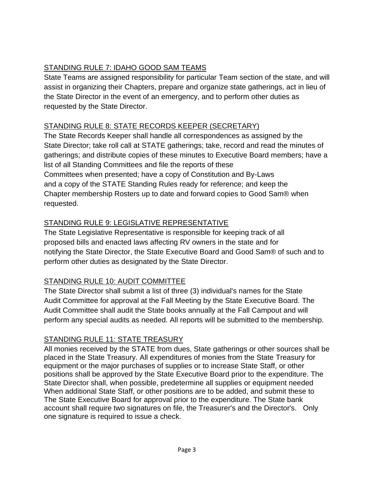# STANDING RULE 7: IDAHO GOOD SAM TEAMS

State Teams are assigned responsibility for particular Team section of the state, and will assist in organizing their Chapters, prepare and organize state gatherings, act in lieu of the State Director in the event of an emergency, and to perform other duties as requested by the State Director.

# STANDING RULE 8: STATE RECORDS KEEPER (SECRETARY)

The State Records Keeper shall handle all correspondences as assigned by the State Director; take roll call at STATE gatherings; take, record and read the minutes of gatherings; and distribute copies of these minutes to Executive Board members; have a list of all Standing Committees and file the reports of these Committees when presented; have a copy of Constitution and By-Laws and a copy of the STATE Standing Rules ready for reference; and keep the Chapter membership Rosters up to date and forward copies to Good Sam® when requested.

# STANDING RULE 9: LEGISLATIVE REPRESENTATIVE

The State Legislative Representative is responsible for keeping track of all proposed bills and enacted laws affecting RV owners in the state and for notifying the State Director, the State Executive Board and Good Sam® of such and to perform other duties as designated by the State Director.

# STANDING RULE 10: AUDIT COMMITTEE

The State Director shall submit a list of three (3) individual's names for the State Audit Committee for approval at the Fall Meeting by the State Executive Board. The Audit Committee shall audit the State books annually at the Fall Campout and will perform any special audits as needed. All reports will be submitted to the membership.

# STANDING RULE 11: STATE TREASURY

All monies received by the STATE from dues, State gatherings or other sources shall be placed in the State Treasury. All expenditures of monies from the State Treasury for equipment or the major purchases of supplies or to increase State Staff, or other positions shall be approved by the State Executive Board prior to the expenditure. The State Director shall, when possible, predetermine all supplies or equipment needed When additional State Staff, or other positions are to be added, and submit these to The State Executive Board for approval prior to the expenditure. The State bank account shall require two signatures on file, the Treasurer's and the Director's. Only one signature is required to issue a check.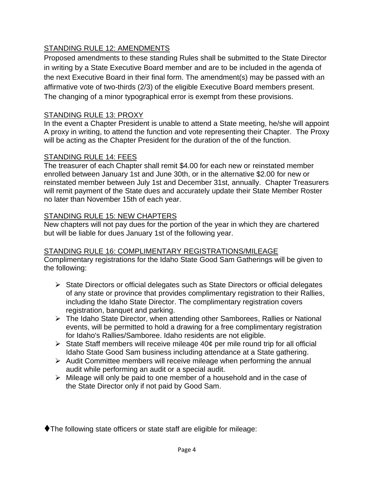### STANDING RULE 12: AMENDMENTS

Proposed amendments to these standing Rules shall be submitted to the State Director in writing by a State Executive Board member and are to be included in the agenda of the next Executive Board in their final form. The amendment(s) may be passed with an affirmative vote of two-thirds (2/3) of the eligible Executive Board members present. The changing of a minor typographical error is exempt from these provisions.

#### STANDING RULE 13: PROXY

In the event a Chapter President is unable to attend a State meeting, he/she will appoint A proxy in writing, to attend the function and vote representing their Chapter. The Proxy will be acting as the Chapter President for the duration of the of the function.

#### STANDING RULE 14: FEES

The treasurer of each Chapter shall remit \$4.00 for each new or reinstated member enrolled between January 1st and June 30th, or in the alternative \$2.00 for new or reinstated member between July 1st and December 31st, annually. Chapter Treasurers will remit payment of the State dues and accurately update their State Member Roster no later than November 15th of each year.

#### STANDING RULE 15: NEW CHAPTERS

New chapters will not pay dues for the portion of the year in which they are chartered but will be liable for dues January 1st of the following year.

#### STANDING RULE 16: COMPLIMENTARY REGISTRATIONS/MILEAGE Complimentary registrations for the Idaho State Good Sam Gatherings will be given to the following:

- ➢ State Directors or official delegates such as State Directors or official delegates of any state or province that provides complimentary registration to their Rallies, including the Idaho State Director. The complimentary registration covers registration, banquet and parking.
- ➢ The Idaho State Director, when attending other Samborees, Rallies or National events, will be permitted to hold a drawing for a free complimentary registration for Idaho's Rallies/Samboree. Idaho residents are not eligible.
- $\triangleright$  State Staff members will receive mileage 40¢ per mile round trip for all official Idaho State Good Sam business including attendance at a State gathering.
- ➢ Audit Committee members will receive mileage when performing the annual audit while performing an audit or a special audit.
- ➢ Mileage will only be paid to one member of a household and in the case of the State Director only if not paid by Good Sam.

⧫The following state officers or state staff are eligible for mileage: